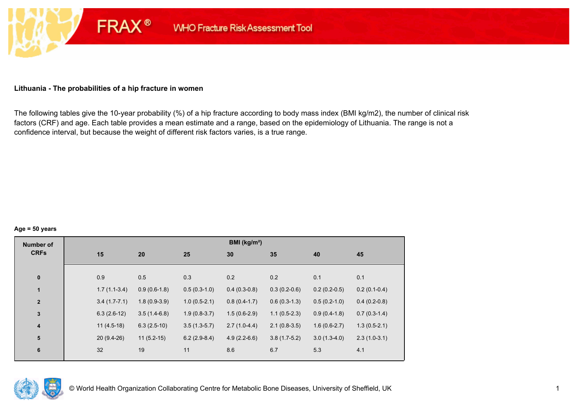### **Lithuania - The probabilities of a hip fracture in women**

**FRAX®** 

The following tables give the 10-year probability (%) of a hip fracture according to body mass index (BMI kg/m2), the number of clinical risk factors (CRF) and age. Each table provides a mean estimate and a range, based on the epidemiology of Lithuania. The range is not a confidence interval, but because the weight of different risk factors varies, is a true range.

#### **Age = 50 years**

| <b>Number of</b>        |                |                |                | BMI ( $kg/m2$ ) |                |                |                |
|-------------------------|----------------|----------------|----------------|-----------------|----------------|----------------|----------------|
| <b>CRFs</b>             | 15             | 20             | 25             | 30              | 35             | 40             | 45             |
|                         |                |                |                |                 |                |                |                |
| $\bf{0}$                | 0.9            | 0.5            | 0.3            | 0.2             | 0.2            | 0.1            | 0.1            |
| $\mathbf{1}$            | $1.7(1.1-3.4)$ | $0.9(0.6-1.8)$ | $0.5(0.3-1.0)$ | $0.4(0.3-0.8)$  | $0.3(0.2-0.6)$ | $0.2(0.2-0.5)$ | $0.2(0.1-0.4)$ |
| $\mathbf{2}$            | $3.4(1.7-7.1)$ | $1.8(0.9-3.9)$ | $1.0(0.5-2.1)$ | $0.8(0.4-1.7)$  | $0.6(0.3-1.3)$ | $0.5(0.2-1.0)$ | $0.4(0.2-0.8)$ |
| $\overline{\mathbf{3}}$ | $6.3(2.6-12)$  | $3.5(1.4-6.8)$ | $1.9(0.8-3.7)$ | $1.5(0.6-2.9)$  | $1.1(0.5-2.3)$ | $0.9(0.4-1.8)$ | $0.7(0.3-1.4)$ |
| $\boldsymbol{4}$        | $11(4.5-18)$   | $6.3(2.5-10)$  | $3.5(1.3-5.7)$ | $2.7(1.0-4.4)$  | $2.1(0.8-3.5)$ | $1.6(0.6-2.7)$ | $1.3(0.5-2.1)$ |
| 5                       | $20(9.4-26)$   | $11(5.2-15)$   | $6.2(2.9-8.4)$ | $4.9(2.2-6.6)$  | $3.8(1.7-5.2)$ | $3.0(1.3-4.0)$ | $2.3(1.0-3.1)$ |
| $6\phantom{1}6$         | 32             | 19             | 11             | 8.6             | 6.7            | 5.3            | 4.1            |

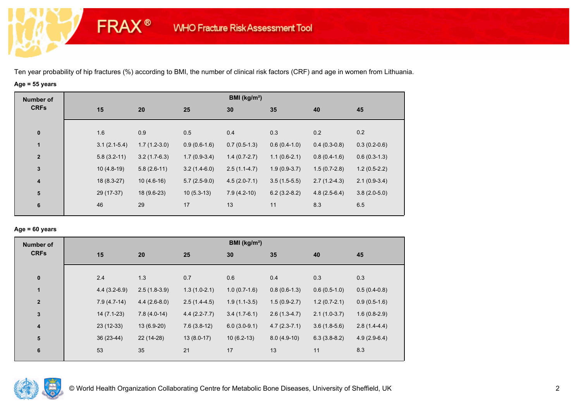**FRAX®** 

## **Age = 55 years**

| <b>Number of</b>        |     |                                  |                | BMI (kg/m <sup>2</sup> ) |                |                |                |
|-------------------------|-----|----------------------------------|----------------|--------------------------|----------------|----------------|----------------|
| <b>CRFs</b>             | 15  | 20                               | 25             | 30                       | 35             | 40             | 45             |
|                         |     |                                  |                |                          |                |                |                |
| $\bf{0}$                | 1.6 | 0.9                              | 0.5            | 0.4                      | 0.3            | 0.2            | 0.2            |
| $\mathbf{1}$            |     | $1.7(1.2-3.0)$<br>$3.1(2.1-5.4)$ | $0.9(0.6-1.6)$ | $0.7(0.5-1.3)$           | $0.6(0.4-1.0)$ | $0.4(0.3-0.8)$ | $0.3(0.2-0.6)$ |
| $\overline{\mathbf{2}}$ |     | $3.2(1.7-6.3)$<br>$5.8(3.2-11)$  | $1.7(0.9-3.4)$ | $1.4(0.7-2.7)$           | $1.1(0.6-2.1)$ | $0.8(0.4-1.6)$ | $0.6(0.3-1.3)$ |
| $\mathbf{3}$            |     | $10(4.8-19)$<br>$5.8(2.6-11)$    | $3.2(1.4-6.0)$ | $2.5(1.1-4.7)$           | $1.9(0.9-3.7)$ | $1.5(0.7-2.8)$ | $1.2(0.5-2.2)$ |
| $\overline{4}$          |     | $18(8.3-27)$<br>$10(4.6-16)$     | $5.7(2.5-9.0)$ | $4.5(2.0-7.1)$           | $3.5(1.5-5.5)$ | $2.7(1.2-4.3)$ | $2.1(0.9-3.4)$ |
| $5\phantom{1}$          |     | 29 (17-37)<br>18 (9.6-23)        | $10(5.3-13)$   | $7.9(4.2-10)$            | $6.2(3.2-8.2)$ | $4.8(2.5-6.4)$ | $3.8(2.0-5.0)$ |
| 6                       | 46  | 29                               | 17             | 13                       | 11             | 8.3            | 6.5            |
|                         |     |                                  |                |                          |                |                |                |

### **Age = 60 years**

| <b>Number of</b>        |                |                |                  | BMI ( $kg/m2$ ) |                |                |                |
|-------------------------|----------------|----------------|------------------|-----------------|----------------|----------------|----------------|
| <b>CRFs</b>             | 15             | 20             | 25               | 30              | 35             | 40             | 45             |
| $\mathbf 0$             | 2.4            | 1.3            | 0.7              | 0.6             | 0.4            | 0.3            | 0.3            |
| 1                       | $4.4(3.2-6.9)$ | $2.5(1.8-3.9)$ | $1.3(1.0-2.1)$   | $1.0(0.7-1.6)$  | $0.8(0.6-1.3)$ | $0.6(0.5-1.0)$ | $0.5(0.4-0.8)$ |
| $\overline{\mathbf{2}}$ | $7.9(4.7-14)$  | $4.4(2.6-8.0)$ | $2.5(1.4-4.5)$   | $1.9(1.1-3.5)$  | $1.5(0.9-2.7)$ | $1.2(0.7-2.1)$ | $0.9(0.5-1.6)$ |
| $\mathbf 3$             | $14(7.1-23)$   | $7.8(4.0-14)$  | $4.4(2.2 - 7.7)$ | $3.4(1.7-6.1)$  | $2.6(1.3-4.7)$ | $2.1(1.0-3.7)$ | $1.6(0.8-2.9)$ |
| $\boldsymbol{4}$        | $23(12-33)$    | 13 (6.9-20)    | $7.6(3.8-12)$    | $6.0(3.0-9.1)$  | $4.7(2.3-7.1)$ | $3.6(1.8-5.6)$ | $2.8(1.4-4.4)$ |
| 5                       | 36 (23-44)     | 22 (14-28)     | $13(8.0-17)$     | $10(6.2-13)$    | $8.0(4.9-10)$  | $6.3(3.8-8.2)$ | $4.9(2.9-6.4)$ |
| 6                       | 53             | 35             | 21               | 17              | 13             | 11             | 8.3            |

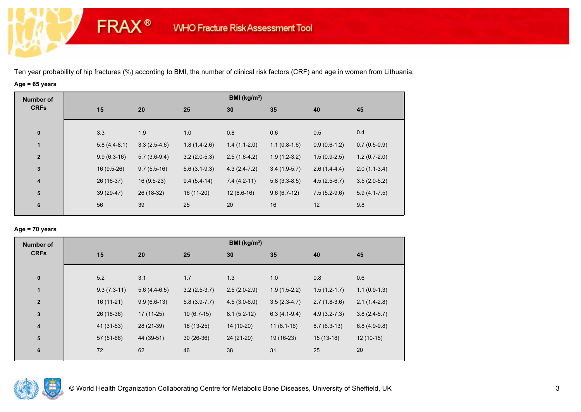**FRAX®** 

# **Age = 65 years**

| <b>Number of</b> |                |                |                | BMI (kg/m <sup>2</sup> ) |                |                |                |
|------------------|----------------|----------------|----------------|--------------------------|----------------|----------------|----------------|
| <b>CRFs</b>      | 15             | 20             | 25             | 30                       | 35             | 40             | 45             |
|                  |                |                |                |                          |                |                |                |
| $\pmb{0}$        | 3.3            | 1.9            | 1.0            | 0.8                      | 0.6            | 0.5            | 0.4            |
| 1                | $5.8(4.4-8.1)$ | $3.3(2.5-4.6)$ | $1.8(1.4-2.6)$ | $1.4(1.1-2.0)$           | $1.1(0.8-1.6)$ | $0.9(0.6-1.2)$ | $0.7(0.5-0.9)$ |
| $\mathbf{2}$     | $9.9(6.3-16)$  | $5.7(3.6-9.4)$ | $3.2(2.0-5.3)$ | $2.5(1.6-4.2)$           | $1.9(1.2-3.2)$ | $1.5(0.9-2.5)$ | $1.2(0.7-2.0)$ |
| $\mathbf 3$      | $16(9.5-26)$   | $9.7(5.5-16)$  | $5.6(3.1-9.3)$ | $4.3(2.4-7.2)$           | $3.4(1.9-5.7)$ | $2.6(1.4-4.4)$ | $2.0(1.1-3.4)$ |
| $\boldsymbol{4}$ | 26 (16-37)     | $16(9.5-23)$   | $9.4(5.4-14)$  | $7.4(4.2-11)$            | $5.8(3.3-8.5)$ | $4.5(2.5-6.7)$ | $3.5(2.0-5.2)$ |
| 5                | 39 (29-47)     | 26 (18-32)     | 16 (11-20)     | $12(8.6-16)$             | $9.6(6.7-12)$  | $7.5(5.2-9.6)$ | $5.9(4.1-7.5)$ |
| 6                | 56             | 39             | 25             | 20                       | 16             | 12             | 9.8            |
|                  |                |                |                |                          |                |                |                |

### **Age = 70 years**

| <b>Number of</b>        |               |                |                | BMI (kg/m <sup>2</sup> ) |                |                  |                |
|-------------------------|---------------|----------------|----------------|--------------------------|----------------|------------------|----------------|
| <b>CRFs</b>             | 15            | 20             | 25             | 30                       | 35             | 40               | 45             |
| $\pmb{0}$               | 5.2           | 3.1            | 1.7            | 1.3                      | 1.0            | 0.8              | 0.6            |
| $\mathbf{1}$            | $9.3(7.3-11)$ | $5.6(4.4-6.5)$ | $3.2(2.5-3.7)$ | $2.5(2.0-2.9)$           | $1.9(1.5-2.2)$ | $1.5(1.2-1.7)$   | $1.1(0.9-1.3)$ |
| $\overline{\mathbf{2}}$ | $16(11-21)$   | $9.9(6.6-13)$  | $5.8(3.9-7.7)$ | $4.5(3.0-6.0)$           | $3.5(2.3-4.7)$ | $2.7(1.8-3.6)$   | $2.1(1.4-2.8)$ |
| $\mathbf 3$             | 26 (18-36)    | $17(11-25)$    | $10(6.7-15)$   | $8.1(5.2-12)$            | $6.3(4.1-9.4)$ | $4.9(3.2 - 7.3)$ | $3.8(2.4-5.7)$ |
| $\overline{\mathbf{4}}$ | 41 (31-53)    | 28 (21-39)     | 18 (13-25)     | 14 (10-20)               | $11(8.1-16)$   | $8.7(6.3-13)$    | $6.8(4.9-9.8)$ |
| ${\bf 5}$               | 57 (51-66)    | 44 (39-51)     | $30(26-36)$    | 24 (21-29)               | 19 (16-23)     | $15(13-18)$      | $12(10-15)$    |
| 6                       | 72            | 62             | 46             | 38                       | 31             | 25               | 20             |

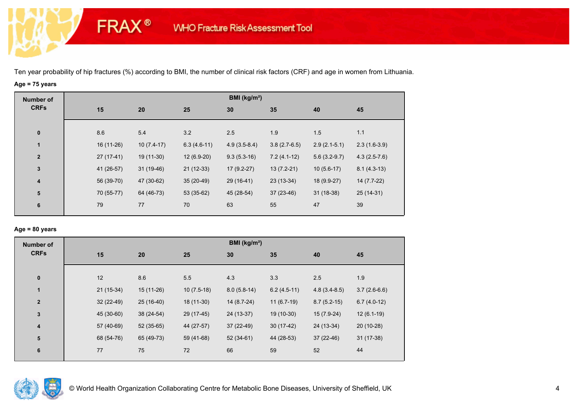**FRAX®** 

# **Age = 75 years**

| <b>Number of</b>        |             |              |               | BMI (kg/m <sup>2</sup> ) |                |                |                |
|-------------------------|-------------|--------------|---------------|--------------------------|----------------|----------------|----------------|
| <b>CRFs</b>             | 15          | 20           | 25            | 30                       | 35             | 40             | 45             |
|                         |             |              |               |                          |                |                |                |
| $\bf{0}$                | 8.6         | 5.4          | 3.2           | 2.5                      | 1.9            | 1.5            | 1.1            |
| 1                       | 16 (11-26)  | $10(7.4-17)$ | $6.3(4.6-11)$ | $4.9(3.5-8.4)$           | $3.8(2.7-6.5)$ | $2.9(2.1-5.1)$ | $2.3(1.6-3.9)$ |
| $\mathbf{2}$            | $27(17-41)$ | 19 (11-30)   | $12(6.9-20)$  | $9.3(5.3-16)$            | $7.2(4.1-12)$  | $5.6(3.2-9.7)$ | $4.3(2.5-7.6)$ |
| $\mathbf{3}$            | 41 (26-57)  | $31(19-46)$  | $21(12-33)$   | $17(9.2-27)$             | $13(7.2-21)$   | $10(5.6-17)$   | $8.1(4.3-13)$  |
| $\overline{\mathbf{4}}$ | 56 (39-70)  | 47 (30-62)   | $35(20-49)$   | 29 (16-41)               | 23 (13-34)     | 18 (9.9-27)    | 14 (7.7-22)    |
| ${\bf 5}$               | 70 (55-77)  | 64 (46-73)   | $53(35-62)$   | 45 (28-54)               | $37(23-46)$    | $31(18-38)$    | $25(14-31)$    |
| 6                       | 79          | 77           | 70            | 63                       | 55             | 47             | 39             |
|                         |             |              |               |                          |                |                |                |

### **Age = 80 years**

| <b>Number of</b> |    |             |             |              | BMI ( $kg/m2$ ) |               |                |                |
|------------------|----|-------------|-------------|--------------|-----------------|---------------|----------------|----------------|
| <b>CRFs</b>      |    | 15          | 20          | 25           | 30              | 35            | 40             | 45             |
| $\pmb{0}$        |    | 12          | 8.6         | 5.5          | 4.3             | 3.3           | 2.5            | 1.9            |
| $\mathbf{1}$     |    | $21(15-34)$ | 15 (11-26)  | $10(7.5-18)$ | $8.0(5.8-14)$   | $6.2(4.5-11)$ | $4.8(3.4-8.5)$ | $3.7(2.6-6.6)$ |
| $\mathbf{2}$     |    | $32(22-49)$ | 25 (16-40)  | 18 (11-30)   | 14 (8.7-24)     | $11(6.7-19)$  | $8.7(5.2-15)$  | $6.7(4.0-12)$  |
| 3                |    | 45 (30-60)  | 38 (24-54)  | 29 (17-45)   | 24 (13-37)      | 19 (10-30)    | $15(7.9-24)$   | $12(6.1-19)$   |
| 4                |    | 57 (40-69)  | $52(35-65)$ | 44 (27-57)   | 37 (22-49)      | $30(17-42)$   | 24 (13-34)     | 20 (10-28)     |
| ${\bf 5}$        |    | 68 (54-76)  | 65 (49-73)  | 59 (41-68)   | $52(34-61)$     | 44 (28-53)    | $37(22-46)$    | $31(17-38)$    |
| 6                | 77 |             | 75          | 72           | 66              | 59            | 52             | 44             |
|                  |    |             |             |              |                 |               |                |                |